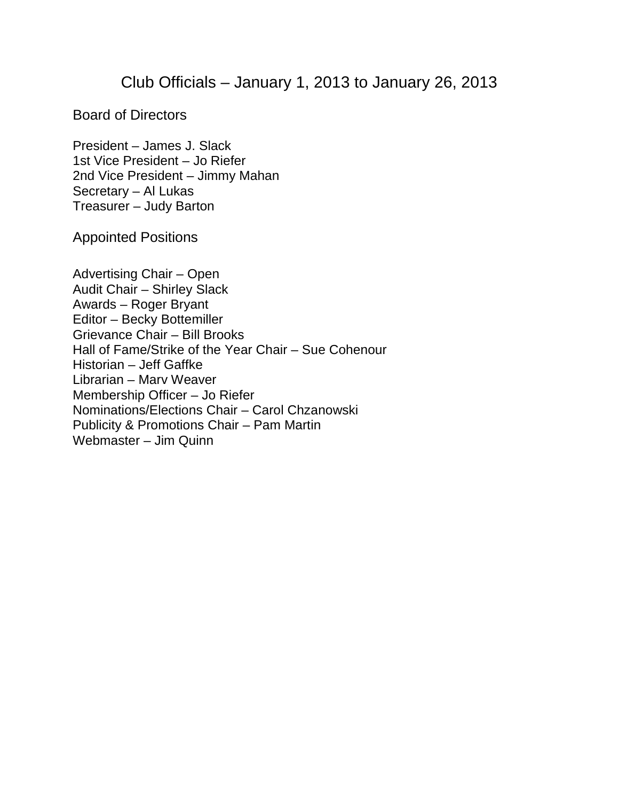## Club Officials – January 1, 2013 to January 26, 2013

Board of Directors

President – James J. Slack 1st Vice President – Jo Riefer 2nd Vice President – Jimmy Mahan Secretary – Al Lukas Treasurer – Judy Barton

Appointed Positions

Advertising Chair – Open Audit Chair – Shirley Slack Awards – Roger Bryant Editor – Becky Bottemiller Grievance Chair – Bill Brooks Hall of Fame/Strike of the Year Chair – Sue Cohenour Historian – Jeff Gaffke Librarian – Marv Weaver Membership Officer – Jo Riefer Nominations/Elections Chair – Carol Chzanowski Publicity & Promotions Chair – Pam Martin Webmaster – Jim Quinn